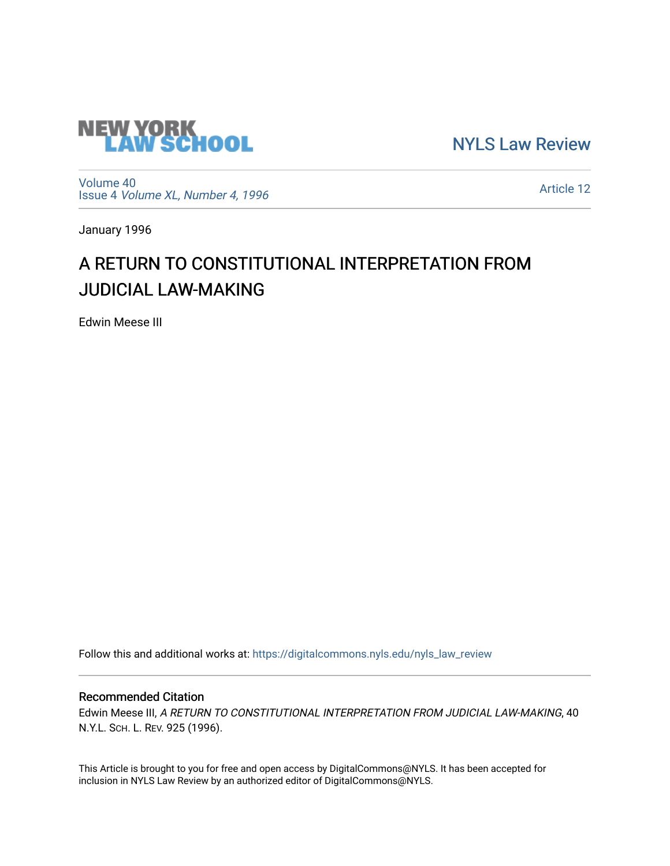

[NYLS Law Review](https://digitalcommons.nyls.edu/nyls_law_review) 

[Volume 40](https://digitalcommons.nyls.edu/nyls_law_review/vol40) Issue 4 [Volume XL, Number 4, 1996](https://digitalcommons.nyls.edu/nyls_law_review/vol40/iss4)

[Article 12](https://digitalcommons.nyls.edu/nyls_law_review/vol40/iss4/12) 

January 1996

## A RETURN TO CONSTITUTIONAL INTERPRETATION FROM JUDICIAL LAW-MAKING

Edwin Meese III

Follow this and additional works at: [https://digitalcommons.nyls.edu/nyls\\_law\\_review](https://digitalcommons.nyls.edu/nyls_law_review?utm_source=digitalcommons.nyls.edu%2Fnyls_law_review%2Fvol40%2Fiss4%2F12&utm_medium=PDF&utm_campaign=PDFCoverPages) 

## Recommended Citation

Edwin Meese III, A RETURN TO CONSTITUTIONAL INTERPRETATION FROM JUDICIAL LAW-MAKING, 40 N.Y.L. SCH. L. REV. 925 (1996).

This Article is brought to you for free and open access by DigitalCommons@NYLS. It has been accepted for inclusion in NYLS Law Review by an authorized editor of DigitalCommons@NYLS.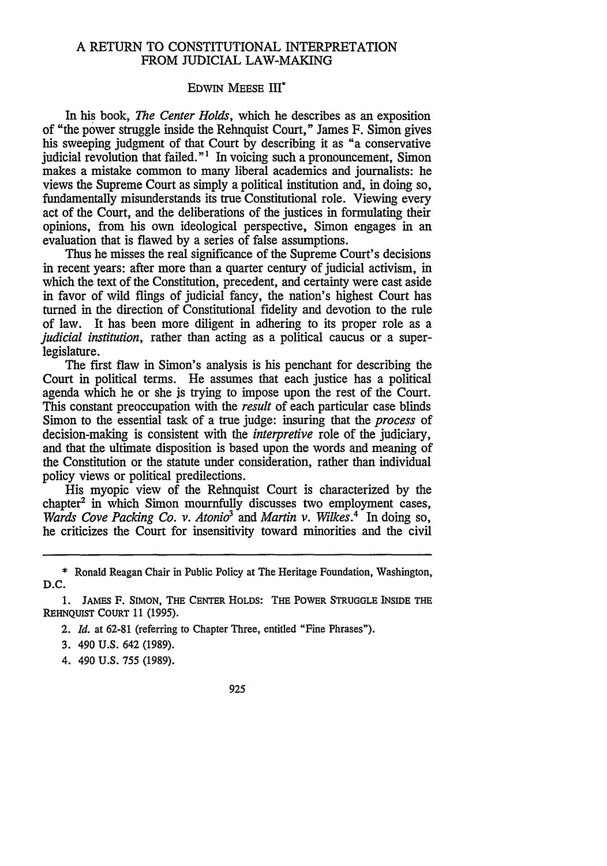## A RETURN TO CONSTITUTIONAL INTERPRETATION FROM JUDICIAL LAW-MAKING

## EDWIN MEESE III\*

In his book, *The Center Holds,* which he describes as an exposition of "the power struggle inside the Rehnquist Court," James F. Simon gives his sweeping judgment of that Court by describing it as "a conservative judicial revolution that failed."' In voicing such a pronouncement, Simon makes a mistake common to many liberal academics and journalists: he views the Supreme Court as simply a political institution and, in doing so, fundamentally misunderstands its true Constitutional role. Viewing every act of the Court, and the deliberations of the justices in formulating their opinions, from his own ideological perspective, Simon engages in an evaluation that is flawed by a series of false assumptions.

Thus he misses the real significance of the Supreme Court's decisions in recent years: after more than a quarter century of judicial activism, in which the text of the Constitution, precedent, and certainty were cast aside in favor of wild flings of judicial fancy, the nation's highest Court has turned in the direction of Constitutional fidelity and devotion to the rule of law. It has been more diligent in adhering to its proper role as a *judicial institution*, rather than acting as a political caucus or a superlegislature.

The first flaw in Simon's analysis is his penchant for describing the Court in political terms. He assumes that each justice has a political agenda which he or she js trying to impose upon the rest of the Court. This constant preoccupation with the *result* of each particular case blinds Simon to the essential task of a true judge: insuring that the *process* of decision-making is consistent with the *interpretive* role of the judiciary, and that the ultimate disposition is based upon the words and meaning of the Constitution or the statute under consideration, rather than individual policy views or political predilections.

His myopic view of the Rehnquist Court is characterized by the chapter' in which Simon mournfully discusses two employment cases, *Wards Cove Packing Co. v. Atonio3 and Martin v. Wilkes.4* In doing so, he criticizes the Court for insensitivity toward minorities and the civil

- 2. *Id.* at **62-81** (referring to Chapter Three, entitled "Fine Phrases").
- **3.** 490 **U.S.** 642 **(1989).**
- 4. 490 **U.S. 755 (1989).**
- 925

<sup>\*</sup> Ronald Reagan Chair in Public Policy at The Heritage Foundation, Washington, D.C.

**<sup>1.</sup> JAMES** F. **SIMON,** THE **CENTER HOLDS:** THE **POWER STRUGGLE INSIDE THE** REHNQUIST **COURT 11 (1995).**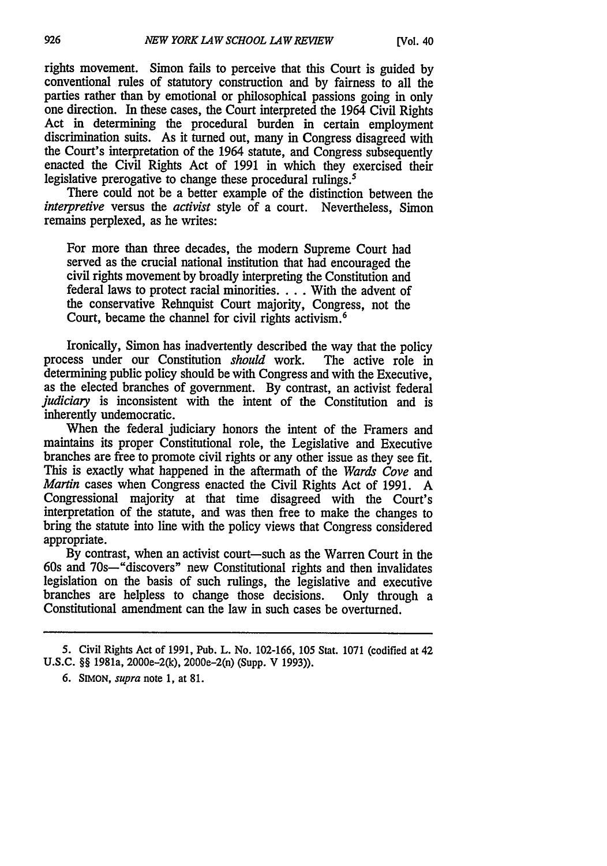rights movement. Simon fails to perceive that this Court is guided by conventional rules of statutory construction and by fairness to all the parties rather than by emotional or philosophical passions going in only one direction. In these cases, the Court interpreted the 1964 Civil Rights Act in determining the procedural burden in certain employment discrimination suits. As it turned out, many in Congress disagreed with the Court's interpretation of the 1964 statute, and Congress subsequently enacted the Civil Rights Act of 1991 in which they exercised their legislative prerogative to change these procedural rulings.<sup>5</sup>

There could not be a better example of the distinction between the *interpretive* versus the *activist* style of a court. Nevertheless, Simon remains perplexed, as he writes:

For more than three decades, the modem Supreme Court had served as the crucial national institution that had encouraged the civil rights movement by broadly interpreting the Constitution and federal laws to protect racial minorities. . **.** . With the advent of the conservative Rehnquist Court majority, Congress, not the Court, became the channel for civil rights activism.<sup>6</sup>

Ironically, Simon has inadvertently described the way that the policy process under our Constitution *should* work. The active role in determining public policy should be with Congress and with the Executive, as the elected branches of government. By contrast, an activist federal *judiciary* is inconsistent with the intent of the Constitution and is inherently undemocratic.

When the federal judiciary honors the intent of the Framers and maintains its proper Constitutional role, the Legislative and Executive branches are free to promote civil rights or any other issue as they see fit. This is exactly what happened in the aftermath of the *Wards Cove* and *Martin* cases when Congress enacted the Civil Rights Act of 1991. A Congressional majority at that time disagreed with the Court's interpretation of the statute, and was then free to make the changes to bring the statute into line with the policy views that Congress considered appropriate.

By contrast, when an activist court-such as the Warren Court in the 60s and 70s-"discovers" new Constitutional rights and then invalidates legislation on the basis of such rulings, the legislative and executive branches are helpless to change those decisions. Only through a Constitutional amendment can the law in such cases be overturned.

**<sup>5.</sup>** Civil Rights Act of 1991, Pub. L. No. 102-166, 105 Stat. 1071 (codified at 42 U.S.C. §§ 1981a, 2000e-2(k), 2000e-2(n) (Supp. V 1993)).

<sup>6.</sup> SIMON, *supra* note 1, at 81.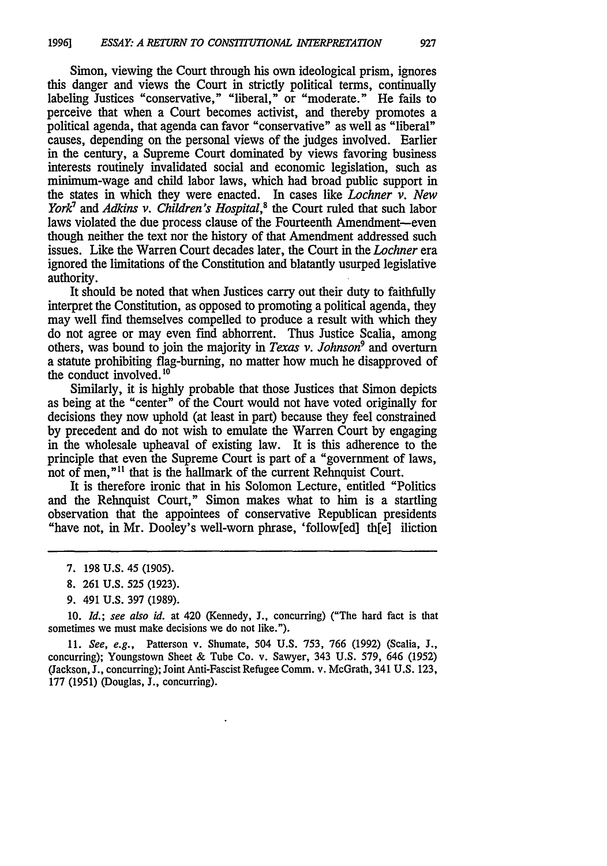Simon, viewing the Court through his own ideological prism, ignores this danger and views the Court in strictly political terms, continually labeling Justices "conservative," "liberal," or "moderate." He fails to perceive that when a Court becomes activist, and thereby promotes a political agenda, that agenda can favor "conservative" as well as "liberal" causes, depending on the personal views of the judges involved. Earlier in the century, a Supreme Court dominated by views favoring business interests routinely invalidated social and economic legislation, such as minimum-wage and child labor laws, which had broad public support in the states in which they were enacted. In cases like *Lochner v. New York<sup>1</sup>* and *Adkins v. Children's Hospital*,<sup>8</sup> the Court ruled that such labor laws violated the due process clause of the Fourteenth Amendment-even though neither the text nor the history of that Amendment addressed such issues. Like the Warren Court decades later, the Court in the *Lochner* era ignored the limitations of the Constitution and blatantly usurped legislative authority.

It should be noted that when Justices carry out their duty to faithfully interpret the Constitution, as opposed to promoting a political agenda, they may well find themselves compelled to produce a result with which they do not agree or may even find abhorrent. Thus Justice Scalia, among others, was bound to join the majority in *Texas v. Johnson9* and overturn a statute prohibiting flag-burning, no matter how much he disapproved of the conduct involved.<sup>16</sup>

Similarly, it is highly probable that those Justices that Simon depicts as being at the "center" of the Court would not have voted originally for decisions they now uphold (at least in part) because they feel constrained by precedent and do not wish to emulate the Warren Court by engaging in the wholesale upheaval of existing law. It is this adherence to the principle that even the Supreme Court is part of a "government of laws, not of men,"<sup>11</sup> that is the hallmark of the current Rehnquist Court.

It is therefore ironic that in his Solomon Lecture, entitled "Politics and the Rehnquist Court," Simon makes what to him is a startling observation that the appointees of conservative Republican presidents "have not, in Mr. Dooley's well-worn phrase, 'follow[ed] th[e] iliction

9. 491 U.S. 397 (1989).

10. *Id.;* see also *id.* at 420 (Kennedy, **J.,** concurring) ("The hard fact is that sometimes we must make decisions we do not like.").

11. *See, e.g.,* Patterson v. Shumate, 504 U.S. 753, 766 (1992) (Scalia, J., concurring); Youngstown Sheet & Tube Co. v. Sawyer, 343 U.S. 579, 646 (1952) (Jackson, **J.,** concurring); Joint Anti-Fascist Refugee Comm. v. McGrath, 341 U.S. 123, 177 (1951) (Douglas, **J.,** concurring).

<sup>7. 198</sup> U.S. 45 (1905).

<sup>8. 261</sup> U.S. **525** (1923).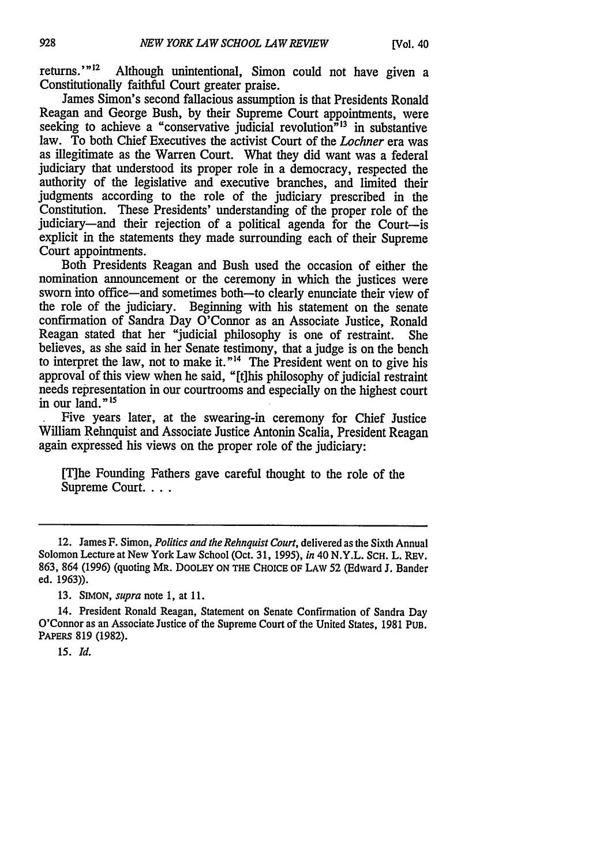returns.'"<sup>12</sup> Although unintentional, Simon could not have given a Constitutionally faithful Court greater praise.

James Simon's second fallacious assumption is that Presidents Ronald Reagan and George Bush, by their Supreme Court appointments, were seeking to achieve a "conservative judicial revolution"<sup>13</sup> in substantive law. To both Chief Executives the activist Court of the *Lochner* era was as illegitimate as the Warren Court. What they did want was a federal judiciary that understood its proper role in a democracy, respected the authority of the legislative and executive branches, and limited their judgments according to the role of the judiciary prescribed in the Constitution. These Presidents' understanding of the proper role of the judiciary-and their rejection of a political agenda for the Court-is explicit in the statements they made surrounding each of their Supreme Court appointments.

Both Presidents Reagan and Bush used the occasion of either the nomination announcement or the ceremony in which the justices were sworn into office—and sometimes both—to clearly enunciate their view of the role of the judiciary. Beginning with his statement on the senate confirmation of Sandra Day O'Connor as an Associate Justice, Ronald Reagan stated that her "judicial philosophy is one of restraint. She believes, as she said in her Senate testimony, that a judge is on the bench to interpret the law, not to make it."<sup>14</sup> The President went on to give his approval of this view when he said, "[tjhis philosophy of judicial restraint needs representation in our courtrooms and especially on the highest court in our land." $15$ 

Five years later, at the swearing-in ceremony for Chief Justice William Rehnquist and Associate Justice Antonin Scalia, President Reagan again expressed his views on the proper role of the judiciary:

[T]he Founding Fathers gave careful thought to the role of the Supreme **Court....**

13. SIMON, *supra* note 1, at 11.

14. President Ronald Reagan, Statement on Senate Confirmation of Sandra Day O'Connor as an Associate Justice of the Supreme Court of the United States, 1981 PUB. PAPERS 819 (1982).

*15. Id.*

<sup>12.</sup> James F. Simon, *Politics and the Rehnquist Court,* delivered as the Sixth Annual Solomon Lecture at New York Law School (Oct. 31, 1995), *in* 40 N.Y.L. SCH. L. REv. 863, 864 **(1996)** (quoting MR. DOOLEY **ON THE CHOICE OF** LAW 52 (Edward **J.** Bander ed. 1963)).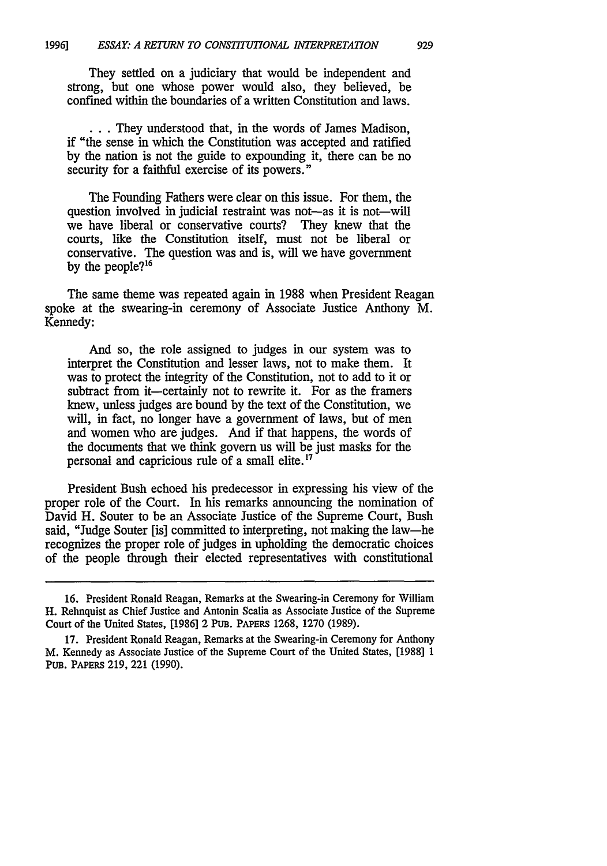They settled on a judiciary that would be independent and strong, but one whose power would also, they believed, be confined within the boundaries of a written Constitution and laws.

**...**They understood that, in the words of James Madison, if "the sense in which the Constitution was accepted and ratified by the nation is not the guide to expounding it, there can be no security for a faithful exercise of its powers."

The Founding Fathers were clear on this issue. For them, the question involved in judicial restraint was not-as it is not-will we have liberal or conservative courts? They knew that the courts, like the Constitution itself, must not be liberal or conservative. The question was and is, will we have government by the people?<sup>16</sup>

The same theme was repeated again in 1988 when President Reagan spoke at the swearing-in ceremony of Associate Justice Anthony M. Kennedy:

And so, the role assigned to judges in our system was to interpret the Constitution and lesser laws, not to make them. It was to protect the integrity of the Constitution, not to add to it or subtract from it—certainly not to rewrite it. For as the framers knew, unless judges are bound by the text of the Constitution, we will, in fact, no longer have a government of laws, but of men and women who are judges. And if that happens, the words of the documents that we think govern us will be just masks for the personal and capricious rule of a small elite.<sup>17</sup>

President Bush echoed his predecessor in expressing his view of the proper role of the Court. In his remarks announcing the nomination of David H. Souter to be an Associate Justice of the Supreme Court, Bush said, "Judge Souter [is] committed to interpreting, not making the law-he recognizes the proper role of judges in upholding the democratic choices of the people through their elected representatives with constitutional

<sup>16.</sup> President Ronald Reagan, Remarks at the Swearing-in Ceremony for William H. Rehnquist as Chief Justice and Antonin Scalia as Associate Justice of the Supreme Court of the United States, [1986] 2 PuB. PAPERS 1268, 1270 (1989).

<sup>17.</sup> President Ronald Reagan, Remarks at the Swearing-in Ceremony for Anthony M. Kennedy as Associate Justice of the Supreme Court of the United States, [1988] 1 PuB. PAPERS 219, 221 (1990).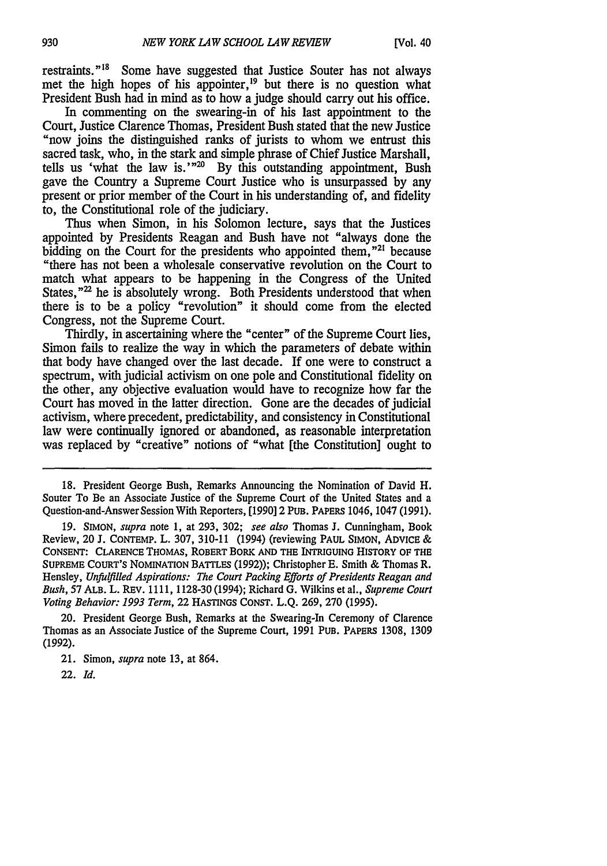restraints."18 Some have suggested that Justice Souter has not always met the high hopes of his appointer,<sup>19</sup> but there is no question what President Bush had in mind as to how a judge should carry out his office.

In commenting on the swearing-in of his last appointment to the Court. Justice Clarence Thomas, President Bush stated that the new Justice "now joins the distinguished ranks of jurists to whom we entrust this sacred task, who, in the stark and simple phrase of Chief Justice Marshall, tells us 'what the law is.' $m^{20}$  By this outstanding appointment, Bush gave the Country a Supreme Court Justice who is unsurpassed by any present or prior member of the Court in his understanding of, and fidelity to, the Constitutional role of the judiciary.

Thus when Simon, in his Solomon lecture, says that the Justices appointed by Presidents Reagan and Bush have not "always done the bidding on the Court for the presidents who appointed them, $"^{21}$  because "there has not been a wholesale conservative revolution on the Court to match what appears to be happening in the Congress of the United States,"<sup>22</sup> he is absolutely wrong. Both Presidents understood that when there is to be a policy "revolution" it should come from the elected Congress, not the Supreme Court.

Thirdly, in ascertaining where the "center" of the Supreme Court lies, Simon fails to realize the way in which the parameters of debate within that body have changed over the last decade. If one were to construct a spectrum, with judicial activism on one pole and Constitutional fidelity on the other, any objective evaluation would have to recognize how far the Court has moved in the latter direction. Gone are the decades of judicial activism, where precedent, predictability, and consistency in Constitutional law were continually ignored or abandoned, as reasonable interpretation was replaced by "creative" notions of "what [the Constitution] ought to

18. President George Bush, Remarks Announcing the Nomination of David H. Souter To Be an Associate Justice of the Supreme Court of the United States and a Question-and-Answer Session With Reporters, [1990] 2 PUB. PAPERS 1046, 1047 (1991).

19. SIMON, *supra* note 1, at 293, 302; *see also* Thomas **J.** Cunningham, Book Review, 20 **J.** CONTEMP. L. 307, 310-11 (1994) (reviewing PAUL SIMON, ADVICE & CONSENT: CLARENCE THOMAS, ROBERT BORK **AND THE** INTRIGUING HISTORY OF THE SUPREME COURT'S NOMINATION BATTLES (1992)); Christopher **E.** Smith & Thomas R. Hensley, *Unfulfilled Aspirations: The Court Packing Efforts of Presidents Reagan and* Bush, 57 ALB. L. REV. 1111, 1128-30 (1994); Richard G. Wilkins et al., *Supreme Court Voting Behavior: 1993 Term,* 22 HASTINGS CONST. L.Q. 269, 270 (1995).

20. President George Bush, Remarks at the Swearing-In Ceremony of Clarence Thomas as an Associate Justice of the Supreme Court, 1991 PUB. PAPERS 1308, 1309 (1992).

21. Simon, *supra* note 13, at 864.

22. *Id.*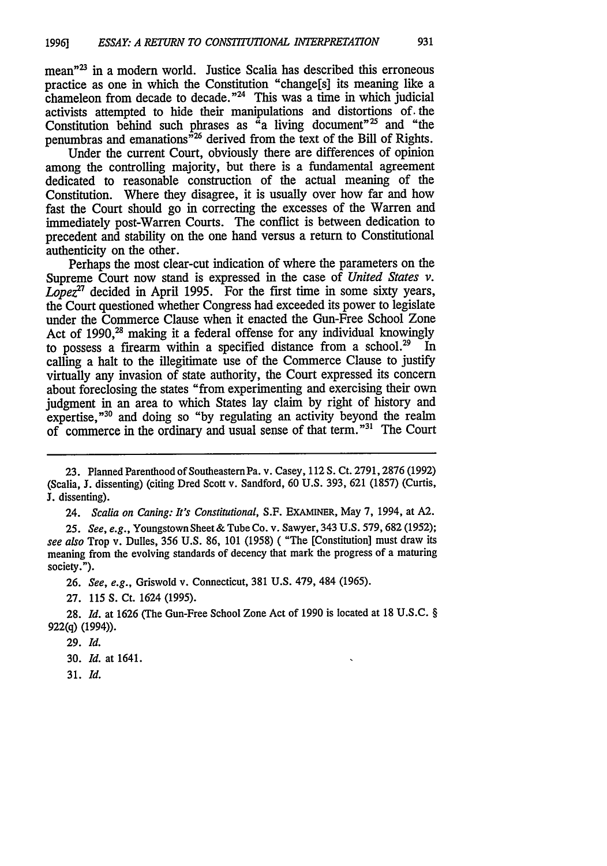mean"<sup>23</sup> in a modern world. Justice Scalia has described this erroneous practice as one in which the Constitution "change[s] its meaning like a chameleon from decade to decade. $"^{24}$  This was a time in which judicial activists attempted to hide their manipulations and distortions *of.* the Constitution behind such phrases as  $a<sup>a</sup>$  a living document<sup>"25</sup> and "the penumbras and emanations<sup> $\dot{r}$ 26</sup> derived from the text of the Bill of Rights.

Under the current Court, obviously there are differences of opinion among the controlling majority, but there is a fundamental agreement dedicated to reasonable construction of the actual meaning of the Constitution. Where they disagree, it is usually over how far and how fast the Court should go in correcting the excesses of the Warren and immediately post-Warren Courts. The conflict is between dedication to precedent and stability on the one hand versus a return to Constitutional authenticity on the other.

Perhaps the most clear-cut indication of where the parameters on the Supreme Court now stand is expressed in the case of *United States v. Lopez"* decided in April 1995. For the first time in some sixty years, the Court questioned whether Congress had exceeded its power to legislate under the Commerce Clause when it enacted the Gun-Free School Zone Act of 1990,<sup>28</sup> making it a federal offense for any individual knowingly to possess a firearm within a specified distance from a school.<sup>29</sup> In calling a halt to the illegitimate use of the Commerce Clause to justify virtually any invasion of state authority, the Court expressed its concern about foreclosing the states "from experimenting and exercising their own judgment in an area to which States lay claim by right of history and expertise,"<sup>30</sup> and doing so "by regulating an activity beyond the realm of commerce in the ordinary and usual sense of that term."31 The Court

24. *Scalia on Caning: It's Constitutional,* S.F. EXAMINER, May 7, 1994, at A2.

*25. See, e.g.,* Youngstown Sheet& Tube Co. v. Sawyer, 343 U.S. 579,682 (1952); *see also* Trop v. Dulles, 356 U.S. 86, 101 (1958) ( "The [Constitution] must draw its meaning from the evolving standards of decency that mark the progress of a maturing society.").

26. *See, e.g.,* Griswold v. Connecticut, 381 U.S. 479, 484 (1965).

27. 115 S. Ct. 1624 (1995).

28. *Id.* at 1626 (The Gun-Free School Zone Act of 1990 is located at 18 U.S.C. § 922(q) (1994)).

29. *Id.*

30. *Id.* at 1641.

31. *Id.*

<sup>23.</sup> Planned Parenthood of Southeastern Pa. v. Casey, 112 S. Ct. 2791, 2876 (1992) (Scalia, J. dissenting) (citing Dred Scott v. Sandford, 60 U.S. 393, 621 (1857) (Curtis, **J.** dissenting).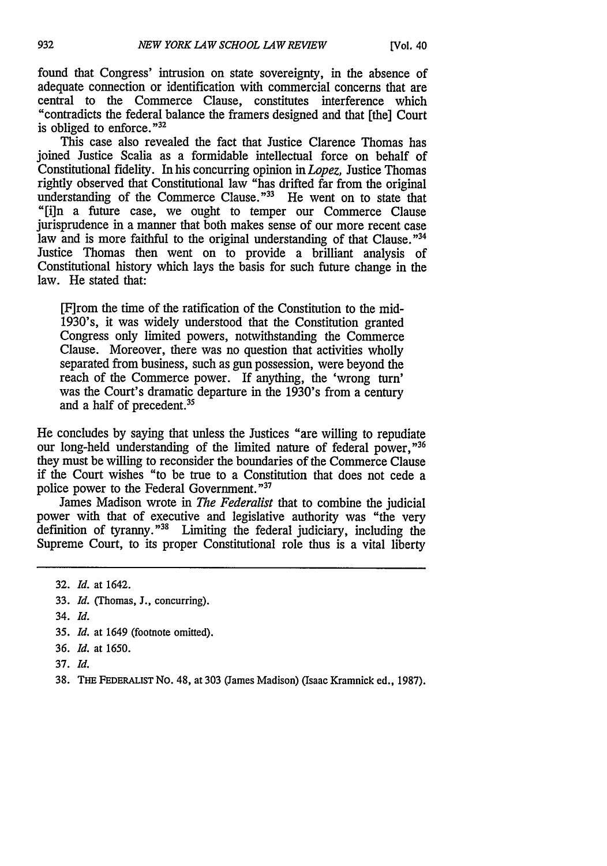found that Congress' intrusion on state sovereignty, in the absence of adequate connection or identification with commercial concerns that are central to the Commerce Clause, constitutes interference which "contradicts the federal balance the framers designed and that [the] Court is obliged to enforce."<sup>32</sup>

This case also revealed the fact that Justice Clarence Thomas has joined Justice Scalia as a formidable intellectual force on behalf of Constitutional fidelity. In his concurring opinion in *Lopez,* Justice Thomas rightly observed that Constitutional law "has drifted far from the original understanding of the Commerce Clause."<sup>33</sup> He went on to state that "[i]n a future case, we ought to temper our Commerce Clause jurisprudence in a manner that both makes sense of our more recent case law and is more faithful to the original understanding of that Clause."<sup>34</sup> Justice Thomas then went on to provide a brilliant analysis of Constitutional history which lays the basis for such future change in the law. He stated that:

[F]rom the time of the ratification of the Constitution to the mid-1930's, it was widely understood that the Constitution granted Congress only limited powers, notwithstanding the Commerce Clause. Moreover, there was no question that activities wholly separated from business, such as gun possession, were beyond the reach of the Commerce power. If anything, the 'wrong turn' was the Court's dramatic departure in the 1930's from a century and a half of precedent.35

He concludes by saying that unless the Justices "are willing to repudiate our long-held understanding of the limited nature of federal power,"<sup>36</sup> they must be willing to reconsider the boundaries of the Commerce Clause if the Court wishes "to be true to a Constitution that does not cede a police power to the Federal Government."<sup>37</sup>

James Madison wrote in *The Federalist* that to combine the judicial power with that of executive and legislative authority was "the very definition of tyranny."38 Limiting the federal judiciary, including the Supreme Court, to its proper Constitutional role thus is a vital liberty

- 33. *Id.* (Thomas, J., concurring).
- 34. *Id.*
- **35.** *Id.* at 1649 (footnote omitted).
- 36. *Id.* at 1650.
- 37. *Id.*
- 38. **THE** FEDERALIST No. 48, at 303 (James Madison) (Isaac Kramnick ed., 1987).

<sup>32.</sup> *Id.* at 1642.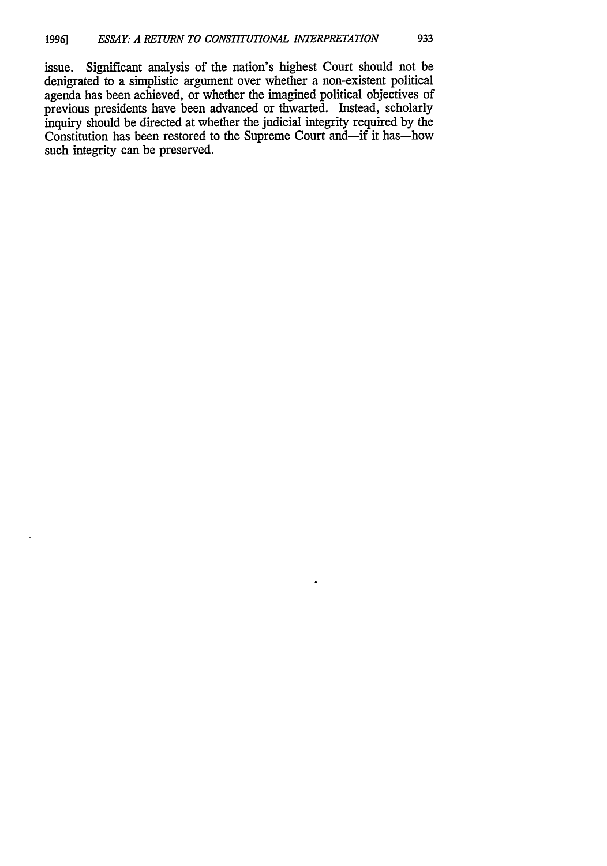issue. Significant analysis of the nation's highest Court should not be denigrated to a simplistic argument over whether a non-existent political agenda has been achieved, or whether the imagined political objectives of previous presidents have been advanced or thwarted. Instead, scholarly inquiry should be directed at whether the judicial integrity required by the Constitution has been restored to the Supreme Court and-if it has-how such integrity can be preserved.